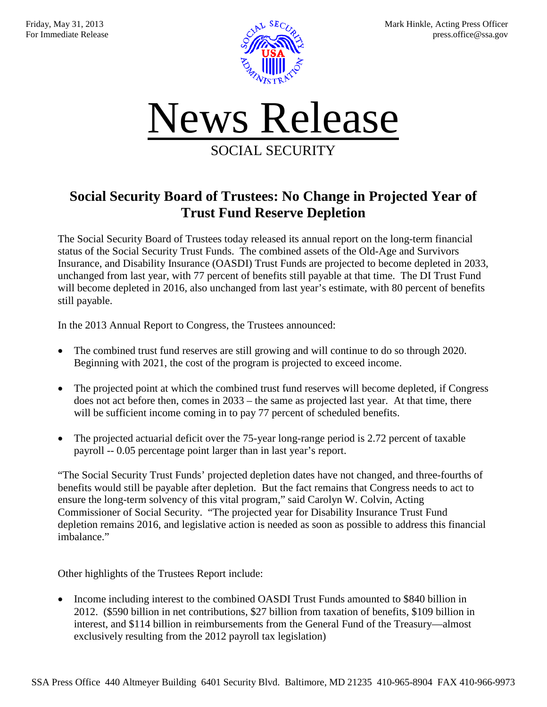



## **Social Security Board of Trustees: No Change in Projected Year of Trust Fund Reserve Depletion**

The Social Security Board of Trustees today released its annual report on the long-term financial status of the Social Security Trust Funds. The combined assets of the Old-Age and Survivors Insurance, and Disability Insurance (OASDI) Trust Funds are projected to become depleted in 2033, unchanged from last year, with 77 percent of benefits still payable at that time. The DI Trust Fund will become depleted in 2016, also unchanged from last year's estimate, with 80 percent of benefits still payable.

In the 2013 Annual Report to Congress, the Trustees announced:

- The combined trust fund reserves are still growing and will continue to do so through 2020. Beginning with 2021, the cost of the program is projected to exceed income.
- The projected point at which the combined trust fund reserves will become depleted, if Congress does not act before then, comes in 2033 – the same as projected last year. At that time, there will be sufficient income coming in to pay 77 percent of scheduled benefits.
- The projected actuarial deficit over the 75-year long-range period is 2.72 percent of taxable payroll -- 0.05 percentage point larger than in last year's report.

"The Social Security Trust Funds' projected depletion dates have not changed, and three-fourths of benefits would still be payable after depletion. But the fact remains that Congress needs to act to ensure the long-term solvency of this vital program," said Carolyn W. Colvin, Acting Commissioner of Social Security. "The projected year for Disability Insurance Trust Fund depletion remains 2016, and legislative action is needed as soon as possible to address this financial imbalance."

Other highlights of the Trustees Report include:

• Income including interest to the combined OASDI Trust Funds amounted to \$840 billion in 2012. (\$590 billion in net contributions, \$27 billion from taxation of benefits, \$109 billion in interest, and \$114 billion in reimbursements from the General Fund of the Treasury—almost exclusively resulting from the 2012 payroll tax legislation)